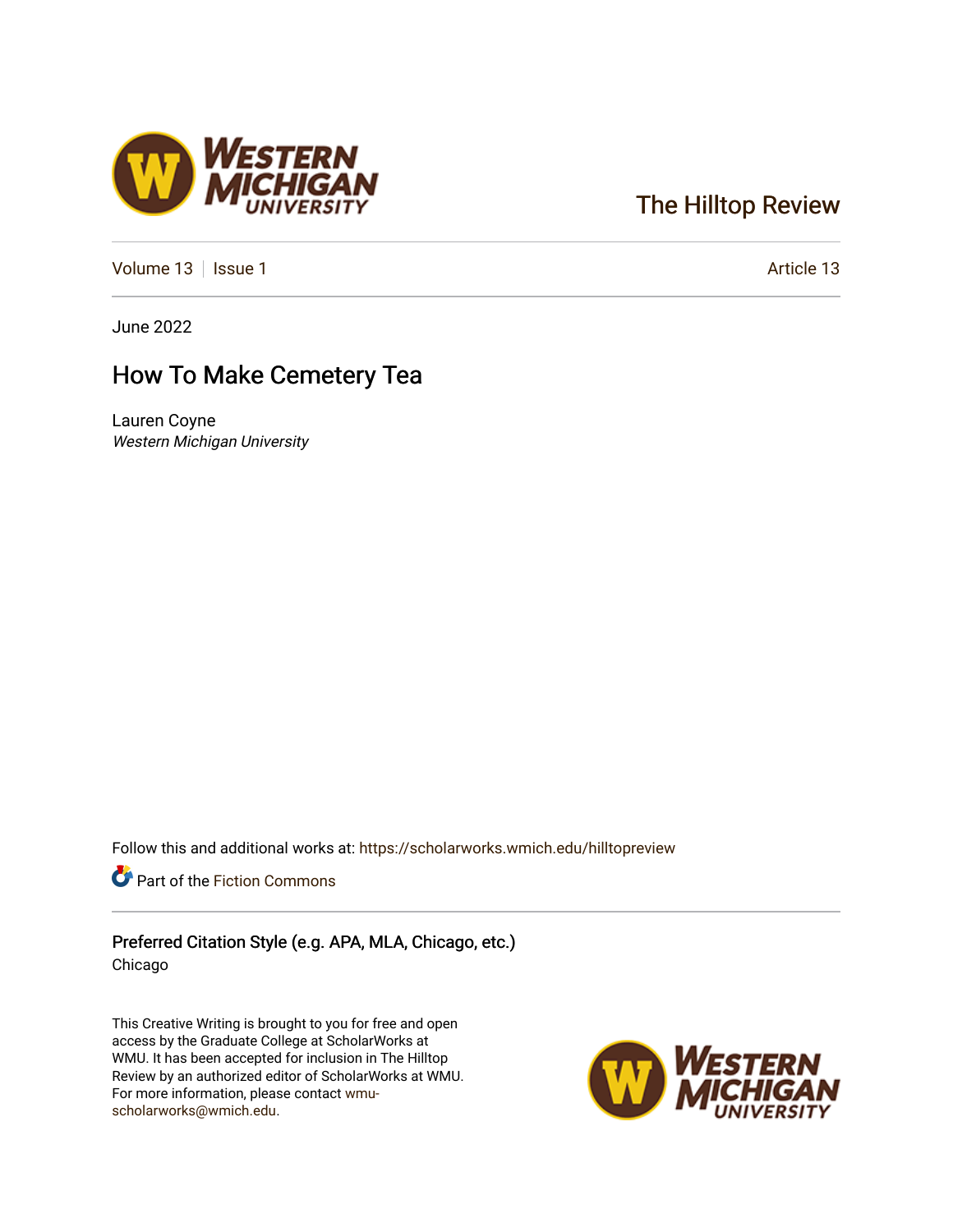# [The Hilltop Review](https://scholarworks.wmich.edu/hilltopreview)

[Volume 13](https://scholarworks.wmich.edu/hilltopreview/vol13) | [Issue 1](https://scholarworks.wmich.edu/hilltopreview/vol13/iss1) Article 13

June 2022

## How To Make Cemetery Tea

Lauren Coyne Western Michigan University

Follow this and additional works at: [https://scholarworks.wmich.edu/hilltopreview](https://scholarworks.wmich.edu/hilltopreview?utm_source=scholarworks.wmich.edu%2Fhilltopreview%2Fvol13%2Fiss1%2F13&utm_medium=PDF&utm_campaign=PDFCoverPages)

Part of the [Fiction Commons](https://network.bepress.com/hgg/discipline/1151?utm_source=scholarworks.wmich.edu%2Fhilltopreview%2Fvol13%2Fiss1%2F13&utm_medium=PDF&utm_campaign=PDFCoverPages) 

Preferred Citation Style (e.g. APA, MLA, Chicago, etc.) Chicago

This Creative Writing is brought to you for free and open access by the Graduate College at ScholarWorks at WMU. It has been accepted for inclusion in The Hilltop Review by an authorized editor of ScholarWorks at WMU. For more information, please contact [wmu](mailto:wmu-scholarworks@wmich.edu)[scholarworks@wmich.edu.](mailto:wmu-scholarworks@wmich.edu)



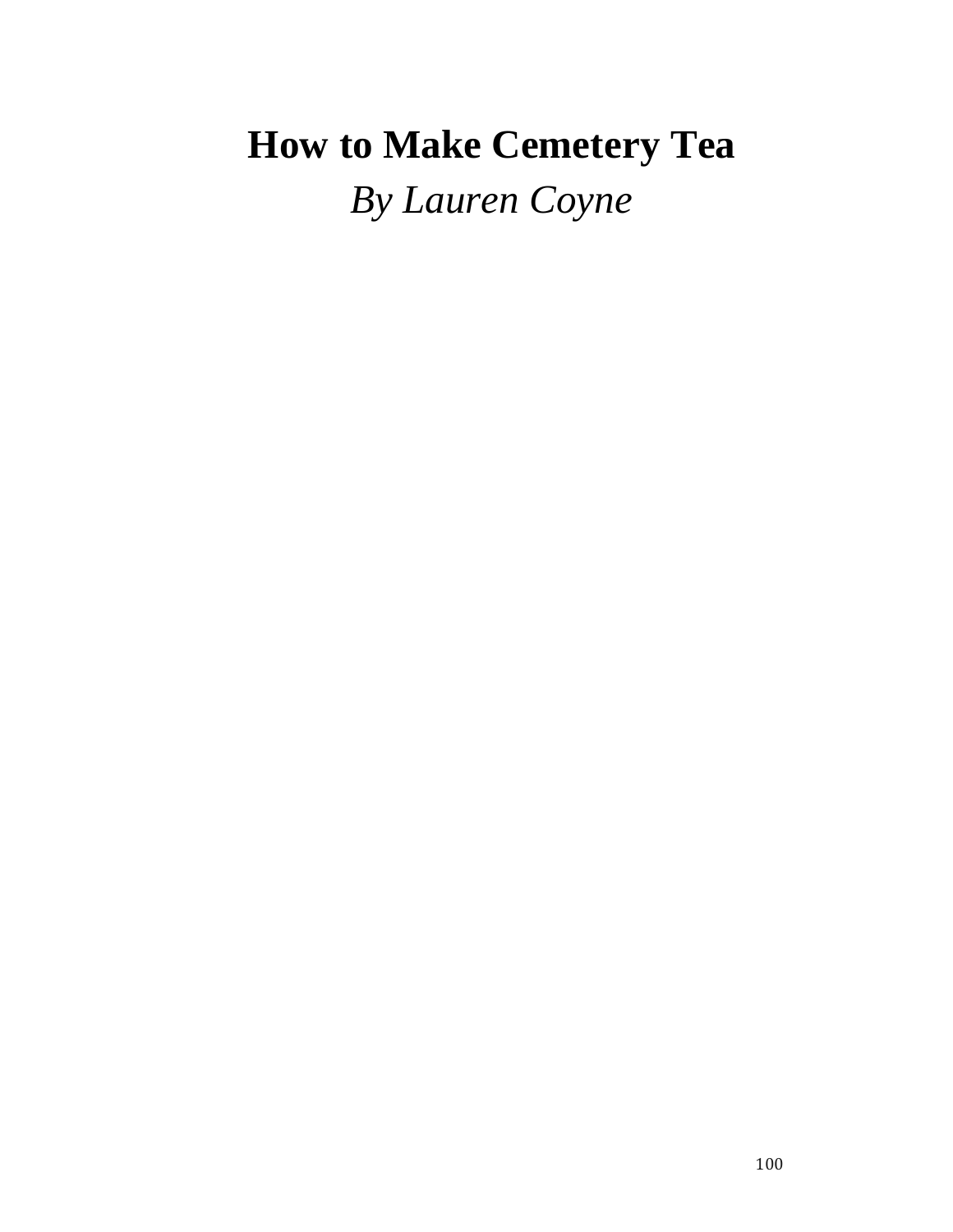# **How to Make Cemetery Tea** *By Lauren Coyne*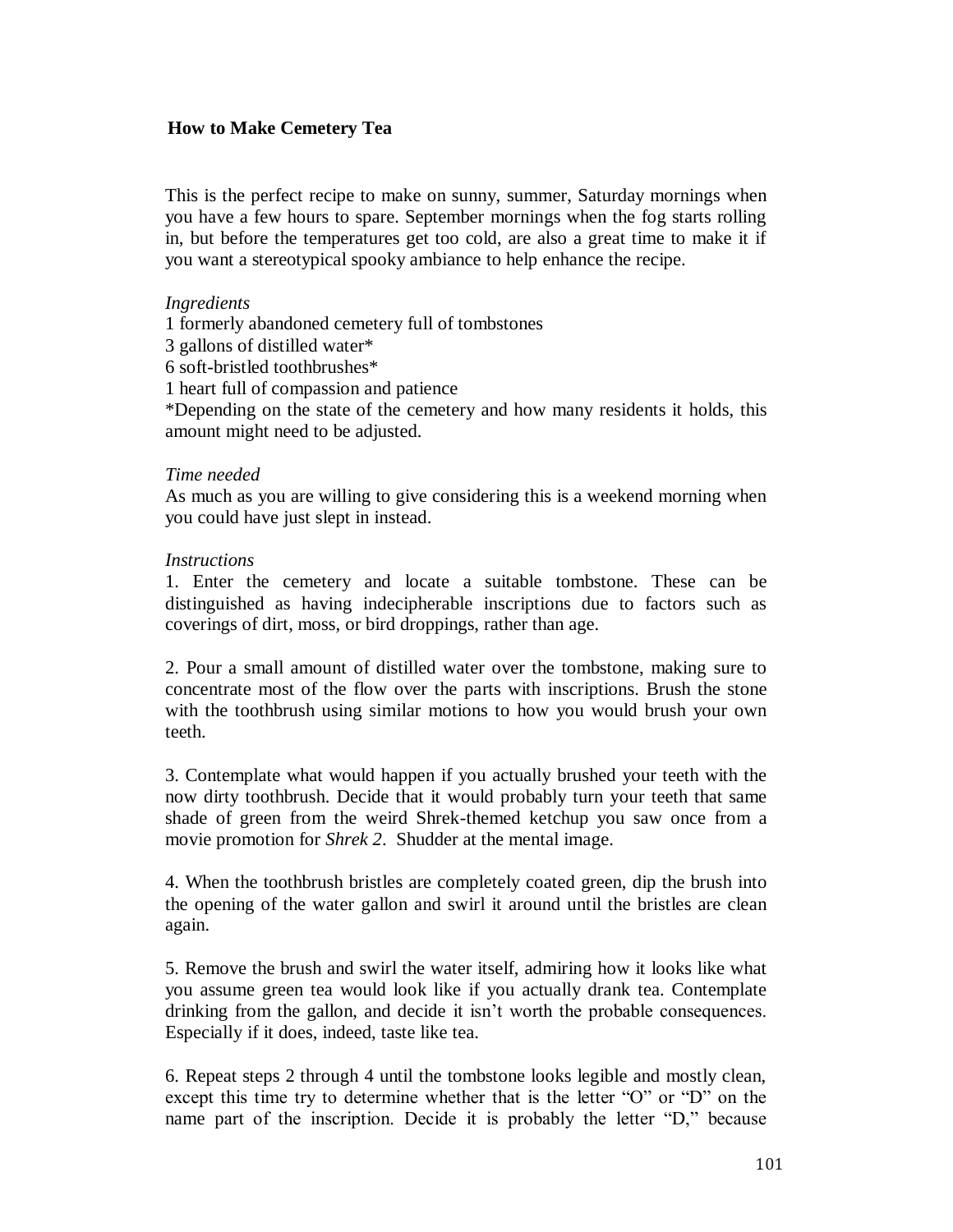## **How to Make Cemetery Tea**

This is the perfect recipe to make on sunny, summer, Saturday mornings when you have a few hours to spare. September mornings when the fog starts rolling in, but before the temperatures get too cold, are also a great time to make it if you want a stereotypical spooky ambiance to help enhance the recipe.

#### *Ingredients*

1 formerly abandoned cemetery full of tombstones

3 gallons of distilled water\*

6 soft-bristled toothbrushes\*

1 heart full of compassion and patience

\*Depending on the state of the cemetery and how many residents it holds, this amount might need to be adjusted.

#### *Time needed*

As much as you are willing to give considering this is a weekend morning when you could have just slept in instead.

#### *Instructions*

1. Enter the cemetery and locate a suitable tombstone. These can be distinguished as having indecipherable inscriptions due to factors such as coverings of dirt, moss, or bird droppings, rather than age.

2. Pour a small amount of distilled water over the tombstone, making sure to concentrate most of the flow over the parts with inscriptions. Brush the stone with the toothbrush using similar motions to how you would brush your own teeth.

3. Contemplate what would happen if you actually brushed your teeth with the now dirty toothbrush. Decide that it would probably turn your teeth that same shade of green from the weird Shrek-themed ketchup you saw once from a movie promotion for *Shrek 2*. Shudder at the mental image.

4. When the toothbrush bristles are completely coated green, dip the brush into the opening of the water gallon and swirl it around until the bristles are clean again.

5. Remove the brush and swirl the water itself, admiring how it looks like what you assume green tea would look like if you actually drank tea. Contemplate drinking from the gallon, and decide it isn't worth the probable consequences. Especially if it does, indeed, taste like tea.

6. Repeat steps 2 through 4 until the tombstone looks legible and mostly clean, except this time try to determine whether that is the letter "O" or "D" on the name part of the inscription. Decide it is probably the letter "D," because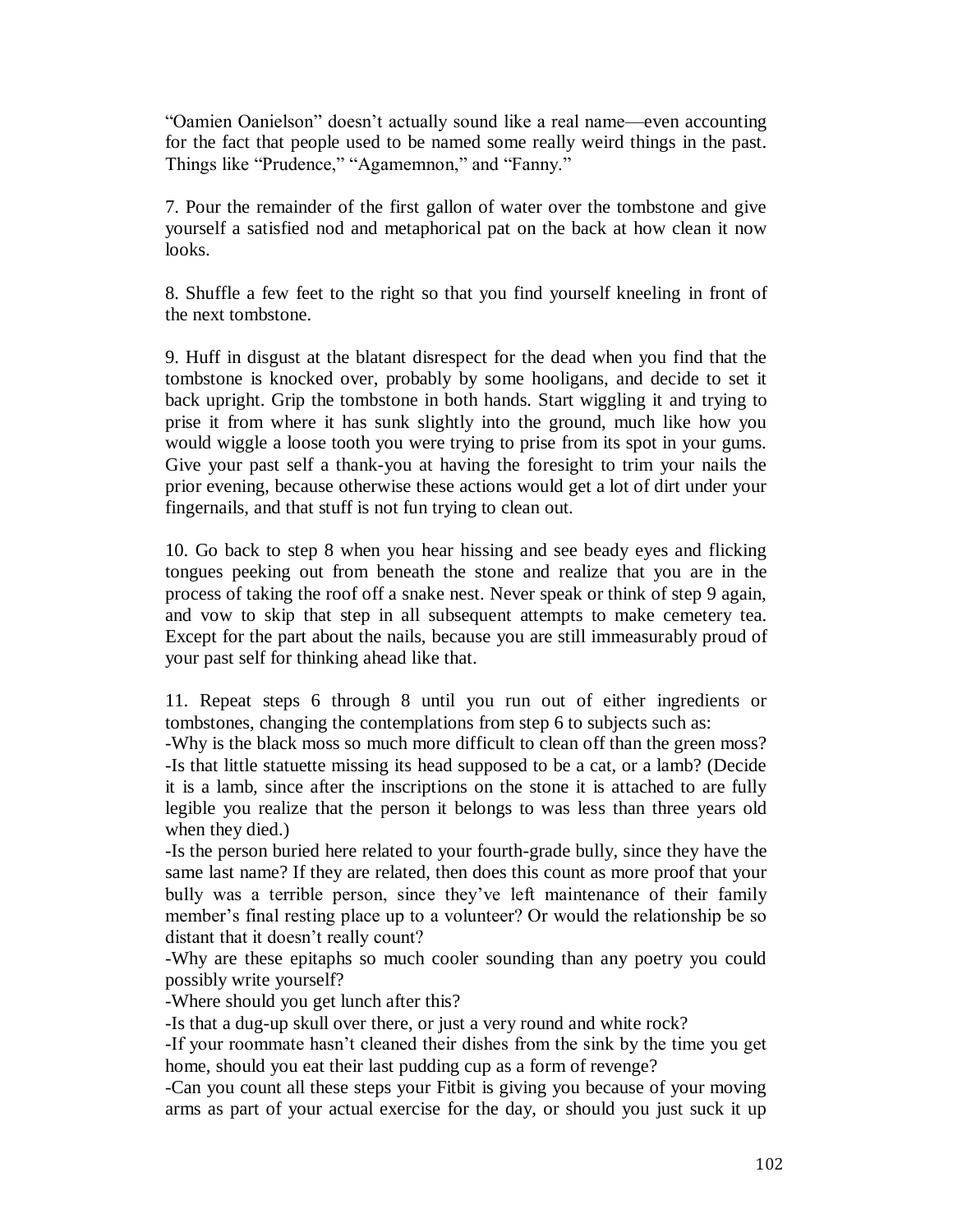"Oamien Oanielson" doesn't actually sound like a real name—even accounting for the fact that people used to be named some really weird things in the past. Things like "Prudence," "Agamemnon," and "Fanny."

7. Pour the remainder of the first gallon of water over the tombstone and give yourself a satisfied nod and metaphorical pat on the back at how clean it now looks.

8. Shuffle a few feet to the right so that you find yourself kneeling in front of the next tombstone.

9. Huff in disgust at the blatant disrespect for the dead when you find that the tombstone is knocked over, probably by some hooligans, and decide to set it back upright. Grip the tombstone in both hands. Start wiggling it and trying to prise it from where it has sunk slightly into the ground, much like how you would wiggle a loose tooth you were trying to prise from its spot in your gums. Give your past self a thank-you at having the foresight to trim your nails the prior evening, because otherwise these actions would get a lot of dirt under your fingernails, and that stuff is not fun trying to clean out.

10. Go back to step 8 when you hear hissing and see beady eyes and flicking tongues peeking out from beneath the stone and realize that you are in the process of taking the roof off a snake nest. Never speak or think of step 9 again, and vow to skip that step in all subsequent attempts to make cemetery tea. Except for the part about the nails, because you are still immeasurably proud of your past self for thinking ahead like that.

11. Repeat steps 6 through 8 until you run out of either ingredients or tombstones, changing the contemplations from step 6 to subjects such as:

-Why is the black moss so much more difficult to clean off than the green moss? -Is that little statuette missing its head supposed to be a cat, or a lamb? (Decide it is a lamb, since after the inscriptions on the stone it is attached to are fully legible you realize that the person it belongs to was less than three years old when they died.)

-Is the person buried here related to your fourth-grade bully, since they have the same last name? If they are related, then does this count as more proof that your bully was a terrible person, since they've left maintenance of their family member's final resting place up to a volunteer? Or would the relationship be so distant that it doesn't really count?

-Why are these epitaphs so much cooler sounding than any poetry you could possibly write yourself?

-Where should you get lunch after this?

-Is that a dug-up skull over there, or just a very round and white rock?

-If your roommate hasn't cleaned their dishes from the sink by the time you get home, should you eat their last pudding cup as a form of revenge?

-Can you count all these steps your Fitbit is giving you because of your moving arms as part of your actual exercise for the day, or should you just suck it up